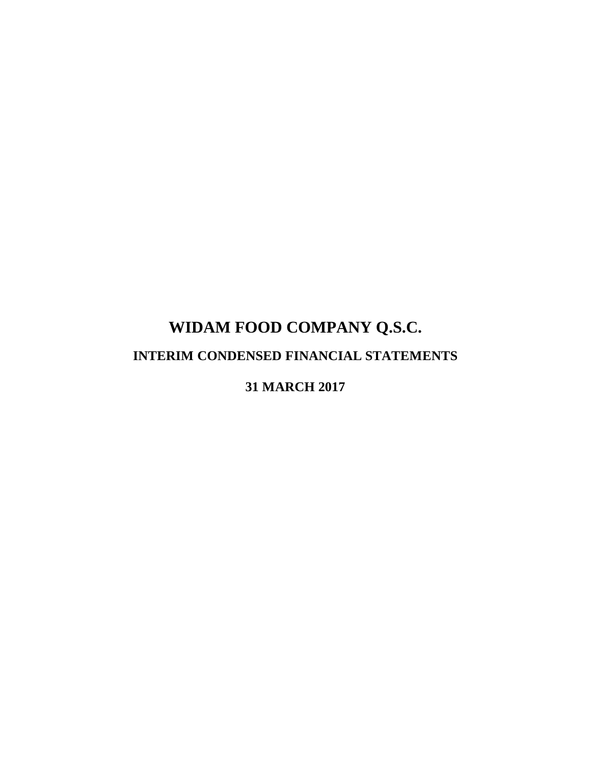## **WIDAM FOOD COMPANY Q.S.C. INTERIM CONDENSED FINANCIAL STATEMENTS**

**31 MARCH 2017**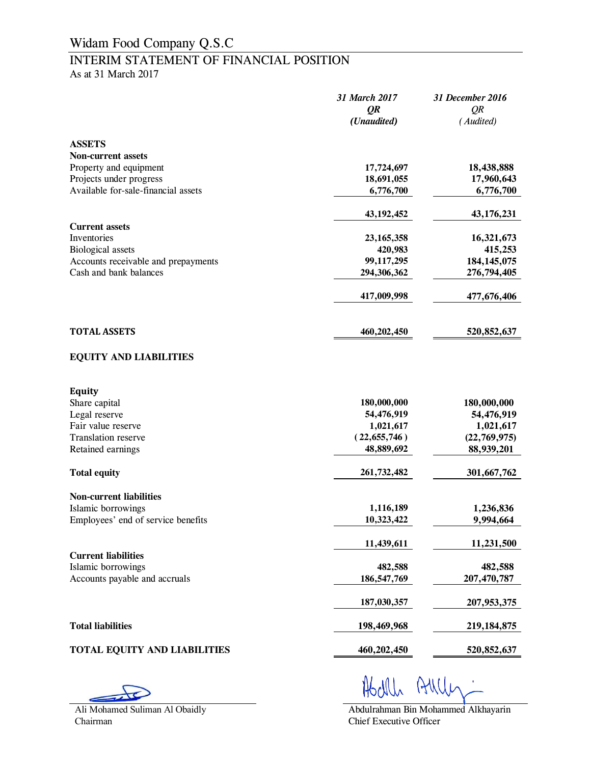## Widam Food Company Q.S.C

## INTERIM STATEMENT OF FINANCIAL POSITION

As at 31 March 2017

| (Unaudited)<br>(Audited)<br><b>ASSETS</b><br><b>Non-current assets</b><br>Property and equipment<br>18,438,888<br>17,724,697<br>Projects under progress<br>17,960,643<br>18,691,055<br>Available for-sale-financial assets<br>6,776,700<br>6,776,700<br>43,192,452<br>43,176,231<br><b>Current assets</b><br>Inventories<br>23, 165, 358<br>16,321,673<br>420,983<br>415,253<br><b>Biological</b> assets<br>99,117,295<br>184, 145, 075<br>Accounts receivable and prepayments<br>Cash and bank balances<br>294,306,362<br>276,794,405<br>477,676,406<br>417,009,998<br><b>TOTAL ASSETS</b><br>460,202,450<br>520,852,637<br><b>EQUITY AND LIABILITIES</b><br>Equity<br>Share capital<br>180,000,000<br>180,000,000<br>Legal reserve<br>54,476,919<br>54,476,919<br>Fair value reserve<br>1,021,617<br>1,021,617<br>(22,655,746)<br><b>Translation reserve</b><br>(22, 769, 975)<br>48,889,692<br>88,939,201<br>Retained earnings<br><b>Total equity</b><br>261,732,482<br>301,667,762<br><b>Non-current liabilities</b><br>Islamic borrowings<br>1,116,189<br>1,236,836<br>Employees' end of service benefits<br>10,323,422<br>9,994,664<br>11,231,500<br>11,439,611<br><b>Current liabilities</b><br>482,588<br>Islamic borrowings<br>482,588<br>186,547,769<br>207,470,787<br>Accounts payable and accruals<br>187,030,357<br>207,953,375<br><b>Total liabilities</b><br>198,469,968<br>219, 184, 875<br><b>TOTAL EQUITY AND LIABILITIES</b><br>460,202,450<br>520,852,637 | 31 March 2017 | 31 December 2016 |
|-------------------------------------------------------------------------------------------------------------------------------------------------------------------------------------------------------------------------------------------------------------------------------------------------------------------------------------------------------------------------------------------------------------------------------------------------------------------------------------------------------------------------------------------------------------------------------------------------------------------------------------------------------------------------------------------------------------------------------------------------------------------------------------------------------------------------------------------------------------------------------------------------------------------------------------------------------------------------------------------------------------------------------------------------------------------------------------------------------------------------------------------------------------------------------------------------------------------------------------------------------------------------------------------------------------------------------------------------------------------------------------------------------------------------------------------------------------------------------|---------------|------------------|
|                                                                                                                                                                                                                                                                                                                                                                                                                                                                                                                                                                                                                                                                                                                                                                                                                                                                                                                                                                                                                                                                                                                                                                                                                                                                                                                                                                                                                                                                               | QR            | QR               |
|                                                                                                                                                                                                                                                                                                                                                                                                                                                                                                                                                                                                                                                                                                                                                                                                                                                                                                                                                                                                                                                                                                                                                                                                                                                                                                                                                                                                                                                                               |               |                  |
|                                                                                                                                                                                                                                                                                                                                                                                                                                                                                                                                                                                                                                                                                                                                                                                                                                                                                                                                                                                                                                                                                                                                                                                                                                                                                                                                                                                                                                                                               |               |                  |
|                                                                                                                                                                                                                                                                                                                                                                                                                                                                                                                                                                                                                                                                                                                                                                                                                                                                                                                                                                                                                                                                                                                                                                                                                                                                                                                                                                                                                                                                               |               |                  |
|                                                                                                                                                                                                                                                                                                                                                                                                                                                                                                                                                                                                                                                                                                                                                                                                                                                                                                                                                                                                                                                                                                                                                                                                                                                                                                                                                                                                                                                                               |               |                  |
|                                                                                                                                                                                                                                                                                                                                                                                                                                                                                                                                                                                                                                                                                                                                                                                                                                                                                                                                                                                                                                                                                                                                                                                                                                                                                                                                                                                                                                                                               |               |                  |
|                                                                                                                                                                                                                                                                                                                                                                                                                                                                                                                                                                                                                                                                                                                                                                                                                                                                                                                                                                                                                                                                                                                                                                                                                                                                                                                                                                                                                                                                               |               |                  |
|                                                                                                                                                                                                                                                                                                                                                                                                                                                                                                                                                                                                                                                                                                                                                                                                                                                                                                                                                                                                                                                                                                                                                                                                                                                                                                                                                                                                                                                                               |               |                  |
|                                                                                                                                                                                                                                                                                                                                                                                                                                                                                                                                                                                                                                                                                                                                                                                                                                                                                                                                                                                                                                                                                                                                                                                                                                                                                                                                                                                                                                                                               |               |                  |
|                                                                                                                                                                                                                                                                                                                                                                                                                                                                                                                                                                                                                                                                                                                                                                                                                                                                                                                                                                                                                                                                                                                                                                                                                                                                                                                                                                                                                                                                               |               |                  |
|                                                                                                                                                                                                                                                                                                                                                                                                                                                                                                                                                                                                                                                                                                                                                                                                                                                                                                                                                                                                                                                                                                                                                                                                                                                                                                                                                                                                                                                                               |               |                  |
|                                                                                                                                                                                                                                                                                                                                                                                                                                                                                                                                                                                                                                                                                                                                                                                                                                                                                                                                                                                                                                                                                                                                                                                                                                                                                                                                                                                                                                                                               |               |                  |
|                                                                                                                                                                                                                                                                                                                                                                                                                                                                                                                                                                                                                                                                                                                                                                                                                                                                                                                                                                                                                                                                                                                                                                                                                                                                                                                                                                                                                                                                               |               |                  |
|                                                                                                                                                                                                                                                                                                                                                                                                                                                                                                                                                                                                                                                                                                                                                                                                                                                                                                                                                                                                                                                                                                                                                                                                                                                                                                                                                                                                                                                                               |               |                  |
|                                                                                                                                                                                                                                                                                                                                                                                                                                                                                                                                                                                                                                                                                                                                                                                                                                                                                                                                                                                                                                                                                                                                                                                                                                                                                                                                                                                                                                                                               |               |                  |
|                                                                                                                                                                                                                                                                                                                                                                                                                                                                                                                                                                                                                                                                                                                                                                                                                                                                                                                                                                                                                                                                                                                                                                                                                                                                                                                                                                                                                                                                               |               |                  |
|                                                                                                                                                                                                                                                                                                                                                                                                                                                                                                                                                                                                                                                                                                                                                                                                                                                                                                                                                                                                                                                                                                                                                                                                                                                                                                                                                                                                                                                                               |               |                  |
|                                                                                                                                                                                                                                                                                                                                                                                                                                                                                                                                                                                                                                                                                                                                                                                                                                                                                                                                                                                                                                                                                                                                                                                                                                                                                                                                                                                                                                                                               |               |                  |
|                                                                                                                                                                                                                                                                                                                                                                                                                                                                                                                                                                                                                                                                                                                                                                                                                                                                                                                                                                                                                                                                                                                                                                                                                                                                                                                                                                                                                                                                               |               |                  |
|                                                                                                                                                                                                                                                                                                                                                                                                                                                                                                                                                                                                                                                                                                                                                                                                                                                                                                                                                                                                                                                                                                                                                                                                                                                                                                                                                                                                                                                                               |               |                  |
|                                                                                                                                                                                                                                                                                                                                                                                                                                                                                                                                                                                                                                                                                                                                                                                                                                                                                                                                                                                                                                                                                                                                                                                                                                                                                                                                                                                                                                                                               |               |                  |
|                                                                                                                                                                                                                                                                                                                                                                                                                                                                                                                                                                                                                                                                                                                                                                                                                                                                                                                                                                                                                                                                                                                                                                                                                                                                                                                                                                                                                                                                               |               |                  |
|                                                                                                                                                                                                                                                                                                                                                                                                                                                                                                                                                                                                                                                                                                                                                                                                                                                                                                                                                                                                                                                                                                                                                                                                                                                                                                                                                                                                                                                                               |               |                  |
|                                                                                                                                                                                                                                                                                                                                                                                                                                                                                                                                                                                                                                                                                                                                                                                                                                                                                                                                                                                                                                                                                                                                                                                                                                                                                                                                                                                                                                                                               |               |                  |
|                                                                                                                                                                                                                                                                                                                                                                                                                                                                                                                                                                                                                                                                                                                                                                                                                                                                                                                                                                                                                                                                                                                                                                                                                                                                                                                                                                                                                                                                               |               |                  |
|                                                                                                                                                                                                                                                                                                                                                                                                                                                                                                                                                                                                                                                                                                                                                                                                                                                                                                                                                                                                                                                                                                                                                                                                                                                                                                                                                                                                                                                                               |               |                  |
|                                                                                                                                                                                                                                                                                                                                                                                                                                                                                                                                                                                                                                                                                                                                                                                                                                                                                                                                                                                                                                                                                                                                                                                                                                                                                                                                                                                                                                                                               |               |                  |
|                                                                                                                                                                                                                                                                                                                                                                                                                                                                                                                                                                                                                                                                                                                                                                                                                                                                                                                                                                                                                                                                                                                                                                                                                                                                                                                                                                                                                                                                               |               |                  |
|                                                                                                                                                                                                                                                                                                                                                                                                                                                                                                                                                                                                                                                                                                                                                                                                                                                                                                                                                                                                                                                                                                                                                                                                                                                                                                                                                                                                                                                                               |               |                  |
|                                                                                                                                                                                                                                                                                                                                                                                                                                                                                                                                                                                                                                                                                                                                                                                                                                                                                                                                                                                                                                                                                                                                                                                                                                                                                                                                                                                                                                                                               |               |                  |
|                                                                                                                                                                                                                                                                                                                                                                                                                                                                                                                                                                                                                                                                                                                                                                                                                                                                                                                                                                                                                                                                                                                                                                                                                                                                                                                                                                                                                                                                               |               |                  |
|                                                                                                                                                                                                                                                                                                                                                                                                                                                                                                                                                                                                                                                                                                                                                                                                                                                                                                                                                                                                                                                                                                                                                                                                                                                                                                                                                                                                                                                                               |               |                  |
|                                                                                                                                                                                                                                                                                                                                                                                                                                                                                                                                                                                                                                                                                                                                                                                                                                                                                                                                                                                                                                                                                                                                                                                                                                                                                                                                                                                                                                                                               |               |                  |
|                                                                                                                                                                                                                                                                                                                                                                                                                                                                                                                                                                                                                                                                                                                                                                                                                                                                                                                                                                                                                                                                                                                                                                                                                                                                                                                                                                                                                                                                               |               |                  |
|                                                                                                                                                                                                                                                                                                                                                                                                                                                                                                                                                                                                                                                                                                                                                                                                                                                                                                                                                                                                                                                                                                                                                                                                                                                                                                                                                                                                                                                                               |               |                  |
|                                                                                                                                                                                                                                                                                                                                                                                                                                                                                                                                                                                                                                                                                                                                                                                                                                                                                                                                                                                                                                                                                                                                                                                                                                                                                                                                                                                                                                                                               |               |                  |
|                                                                                                                                                                                                                                                                                                                                                                                                                                                                                                                                                                                                                                                                                                                                                                                                                                                                                                                                                                                                                                                                                                                                                                                                                                                                                                                                                                                                                                                                               |               |                  |

Ali Mohamed Suliman Al Obaidly Chairman

Abdulrahman Bin Mohammed Alkhayarin Chief Executive Officer

Allle

Abollh